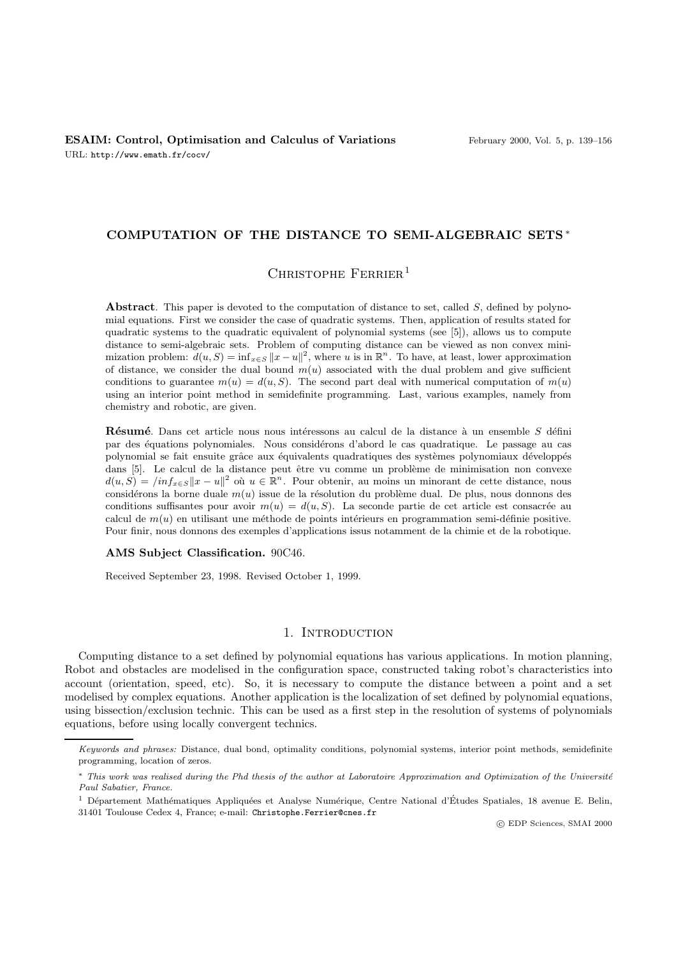# **COMPUTATION OF THE DISTANCE TO SEMI-ALGEBRAIC SETS** ∗

# CHRISTOPHE  $F$ ERRIER<sup>1</sup>

**Abstract**. This paper is devoted to the computation of distance to set, called S, defined by polynomial equations. First we consider the case of quadratic systems. Then, application of results stated for quadratic systems to the quadratic equivalent of polynomial systems (see [5]), allows us to compute distance to semi-algebraic sets. Problem of computing distance can be viewed as non convex minimization problem:  $d(u, S) = \inf_{x \in S} ||x - u||^2$ , where u is in  $\mathbb{R}^n$ . To have, at least, lower approximation of distance, we consider the dual bound  $m(u)$  associated with the dual problem and give sufficient conditions to guarantee  $m(u) = d(u, S)$ . The second part deal with numerical computation of  $m(u)$ using an interior point method in semidefinite programming. Last, various examples, namely from chemistry and robotic, are given.

**Résumé**. Dans cet article nous nous intéressons au calcul de la distance à un ensemble S défini par des équations polynomiales. Nous considérons d'abord le cas quadratique. Le passage au cas polynomial se fait ensuite grâce aux équivalents quadratiques des systèmes polynomiaux développés dans [5]. Le calcul de la distance peut être vu comme un problème de minimisation non convexe  $d(u, S) = \int inf_{x \in S} ||x - u||^2$  où  $u \in \mathbb{R}^n$ . Pour obtenir, au moins un minorant de cette distance, nous considérons la borne duale  $m(u)$  issue de la résolution du problème dual. De plus, nous donnons des conditions suffisantes pour avoir  $m(u) = d(u, S)$ . La seconde partie de cet article est consacrée au calcul de  $m(u)$  en utilisant une méthode de points intérieurs en programmation semi-définie positive. Pour finir, nous donnons des exemples d'applications issus notamment de la chimie et de la robotique.

#### **AMS Subject Classification.** 90C46.

Received September 23, 1998. Revised October 1, 1999.

# 1. INTRODUCTION

Computing distance to a set defined by polynomial equations has various applications. In motion planning, Robot and obstacles are modelised in the configuration space, constructed taking robot's characteristics into account (orientation, speed, etc). So, it is necessary to compute the distance between a point and a set modelised by complex equations. Another application is the localization of set defined by polynomial equations, using bissection/exclusion technic. This can be used as a first step in the resolution of systems of polynomials equations, before using locally convergent technics.

c EDP Sciences, SMAI 2000

Keywords and phrases: Distance, dual bond, optimality conditions, polynomial systems, interior point methods, semidefinite programming, location of zeros.

<sup>∗</sup> This work was realised during the Phd thesis of the author at Laboratoire Approximation and Optimization of the Universit´e Paul Sabatier, France.

<sup>&</sup>lt;sup>1</sup> Département Mathématiques Appliquées et Analyse Numérique, Centre National d'Études Spatiales, 18 avenue E. Belin, 31401 Toulouse Cedex 4, France; e-mail: Christophe.Ferrier@cnes.fr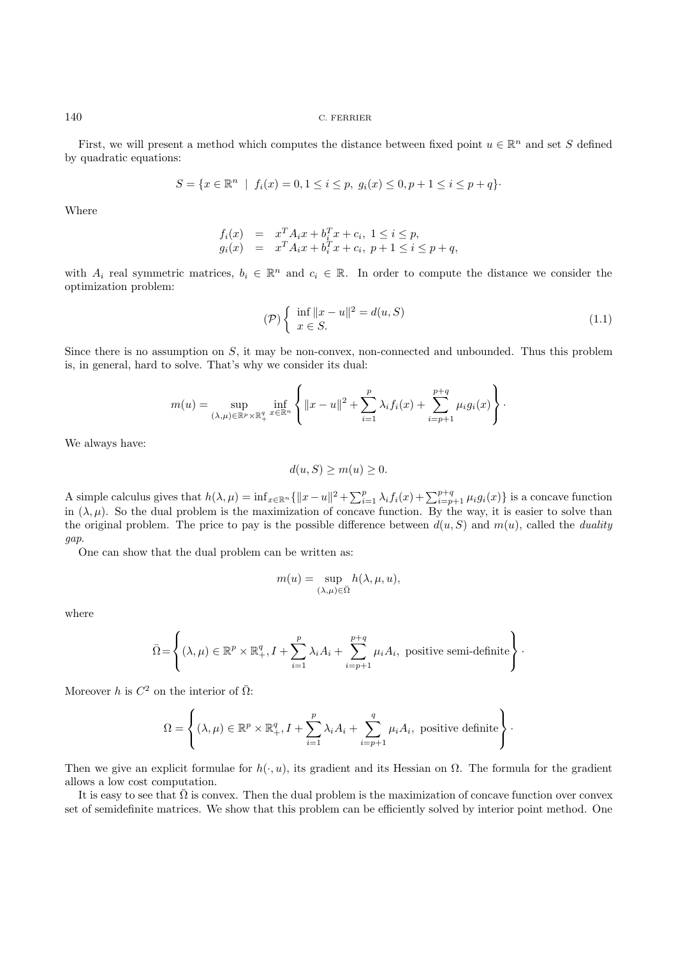First, we will present a method which computes the distance between fixed point  $u \in \mathbb{R}^n$  and set S defined by quadratic equations:

$$
S = \{x \in \mathbb{R}^n \mid f_i(x) = 0, 1 \le i \le p, \ g_i(x) \le 0, p + 1 \le i \le p + q\}.
$$

Where

$$
f_i(x) = x^T A_i x + b_i^T x + c_i, \ 1 \le i \le p, g_i(x) = x^T A_i x + b_i^T x + c_i, \ p + 1 \le i \le p + q,
$$

with  $A_i$  real symmetric matrices,  $b_i \in \mathbb{R}^n$  and  $c_i \in \mathbb{R}$ . In order to compute the distance we consider the optimization problem:

$$
\mathcal{P}\left\{\begin{array}{l}\n\inf \|x - u\|^2 = d(u, S) \\
x \in S.\n\end{array}\right.
$$
\n(1.1)

Since there is no assumption on  $S$ , it may be non-convex, non-connected and unbounded. Thus this problem is, in general, hard to solve. That's why we consider its dual:

$$
m(u) = \sup_{(\lambda,\mu)\in\mathbb{R}^p\times\mathbb{R}_+^q} \inf_{x\in\mathbb{R}^n} \left\{ ||x-u||^2 + \sum_{i=1}^p \lambda_i f_i(x) + \sum_{i=p+1}^{p+q} \mu_i g_i(x) \right\}.
$$

We always have:

$$
d(u, S) \ge m(u) \ge 0.
$$

A simple calculus gives that  $h(\lambda, \mu) = \inf_{x \in \mathbb{R}^n} {\|x - u\|^2} + \sum_{i=1}^p \lambda_i f_i(x) + \sum_{i=p+1}^{p+q} \mu_i g_i(x) {\}$  is a concave function in  $(\lambda, \mu)$ . So the dual problem is the maximization of concave function. By the way, it is easier to solve than the original problem. The price to pay is the possible difference between  $d(u, S)$  and  $m(u)$ , called the *duality* gap.

One can show that the dual problem can be written as:

$$
m(u)=\sup_{(\lambda,\mu)\in\bar{\Omega}}h(\lambda,\mu,u),
$$

where

$$
\bar{\Omega} = \left\{ (\lambda, \mu) \in \mathbb{R}^p \times \mathbb{R}^q_+, I + \sum_{i=1}^p \lambda_i A_i + \sum_{i=p+1}^{p+q} \mu_i A_i, \text{ positive semi-definite} \right\}.
$$

Moreover h is  $C^2$  on the interior of  $\overline{\Omega}$ :

$$
\Omega = \left\{ (\lambda, \mu) \in \mathbb{R}^p \times \mathbb{R}^q_+, I + \sum_{i=1}^p \lambda_i A_i + \sum_{i=p+1}^q \mu_i A_i, \text{ positive definite} \right\}.
$$

Then we give an explicit formulae for  $h(\cdot, u)$ , its gradient and its Hessian on  $\Omega$ . The formula for the gradient allows a low cost computation.

It is easy to see that  $\overline{\Omega}$  is convex. Then the dual problem is the maximization of concave function over convex set of semidefinite matrices. We show that this problem can be efficiently solved by interior point method. One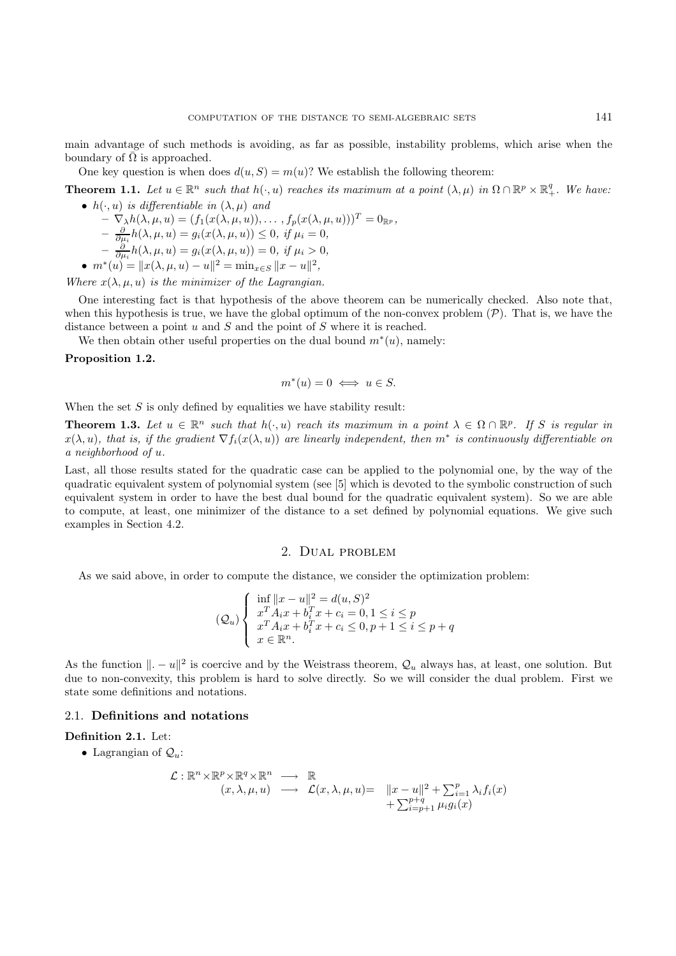main advantage of such methods is avoiding, as far as possible, instability problems, which arise when the boundary of  $\overline{\Omega}$  is approached.

One key question is when does  $d(u, S) = m(u)$ ? We establish the following theorem:

**Theorem 1.1.** Let  $u \in \mathbb{R}^n$  such that  $h(\cdot, u)$  reaches its maximum at a point  $(\lambda, \mu)$  in  $\Omega \cap \mathbb{R}^p \times \mathbb{R}^q_+$ . We have: •  $h(\cdot, u)$  is differentiable in  $(\lambda, \mu)$  and

$$
-\nabla_{\lambda}h(\lambda,\mu,u) = (f_1(x(\lambda,\mu,u)),\ldots,f_p(x(\lambda,\mu,u)))^T = 0_{\mathbb{R}^p},
$$
  
\n
$$
-\frac{\partial}{\partial\mu_i}h(\lambda,\mu,u) = g_i(x(\lambda,\mu,u)) \le 0, \text{ if } \mu_i = 0,
$$
  
\n
$$
-\frac{\partial}{\partial\mu_i}h(\lambda,\mu,u) = g_i(x(\lambda,\mu,u)) = 0, \text{ if } \mu_i > 0,
$$
  
\n•  $m^*(u) = ||x(\lambda,\mu,u) - u||^2 = \min_{x \in S} ||x - u||^2,$ 

Where  $x(\lambda, \mu, u)$  is the minimizer of the Lagrangian.

One interesting fact is that hypothesis of the above theorem can be numerically checked. Also note that, when this hypothesis is true, we have the global optimum of the non-convex problem  $(\mathcal{P})$ . That is, we have the distance between a point  $u$  and  $S$  and the point of  $S$  where it is reached.

We then obtain other useful properties on the dual bound  $m^*(u)$ , namely:

## **Proposition 1.2.**

$$
m^*(u) = 0 \iff u \in S.
$$

When the set  $S$  is only defined by equalities we have stability result:

**Theorem 1.3.** Let  $u \in \mathbb{R}^n$  such that  $h(\cdot, u)$  reach its maximum in a point  $\lambda \in \Omega \cap \mathbb{R}^p$ . If S is regular in  $x(\lambda, u)$ , that is, if the gradient  $\nabla f_i(x(\lambda, u))$  are linearly independent, then  $m^*$  is continuously differentiable on a neighborhood of u.

Last, all those results stated for the quadratic case can be applied to the polynomial one, by the way of the quadratic equivalent system of polynomial system (see [5] which is devoted to the symbolic construction of such equivalent system in order to have the best dual bound for the quadratic equivalent system). So we are able to compute, at least, one minimizer of the distance to a set defined by polynomial equations. We give such examples in Section 4.2.

# 2. Dual problem

As we said above, in order to compute the distance, we consider the optimization problem:

$$
(Q_u) \begin{cases} \inf_{x} ||x - u||^2 = d(u, S)^2 \\ x^T A_i x + b_i^T x + c_i = 0, 1 \le i \le p \\ x^T A_i x + b_i^T x + c_i \le 0, p + 1 \le i \le p + q \\ x \in \mathbb{R}^n. \end{cases}
$$

As the function  $\|.\,-\,u\|^2$  is coercive and by the Weistrass theorem,  $\mathcal{Q}_u$  always has, at least, one solution. But due to non-convexity, this problem is hard to solve directly. So we will consider the dual problem. First we state some definitions and notations.

#### 2.1. **Definitions and notations**

#### **Definition 2.1.** Let:

• Lagrangian of  $\mathcal{Q}_u$ :

$$
\mathcal{L}: \mathbb{R}^n \times \mathbb{R}^p \times \mathbb{R}^q \times \mathbb{R}^n \longrightarrow \mathbb{R}
$$
  
\n
$$
(x, \lambda, \mu, u) \longrightarrow \mathcal{L}(x, \lambda, \mu, u) = \|x - u\|^2 + \sum_{i=1}^p \lambda_i f_i(x)
$$
  
\n
$$
+ \sum_{i=p+1}^{p+q} \mu_i g_i(x)
$$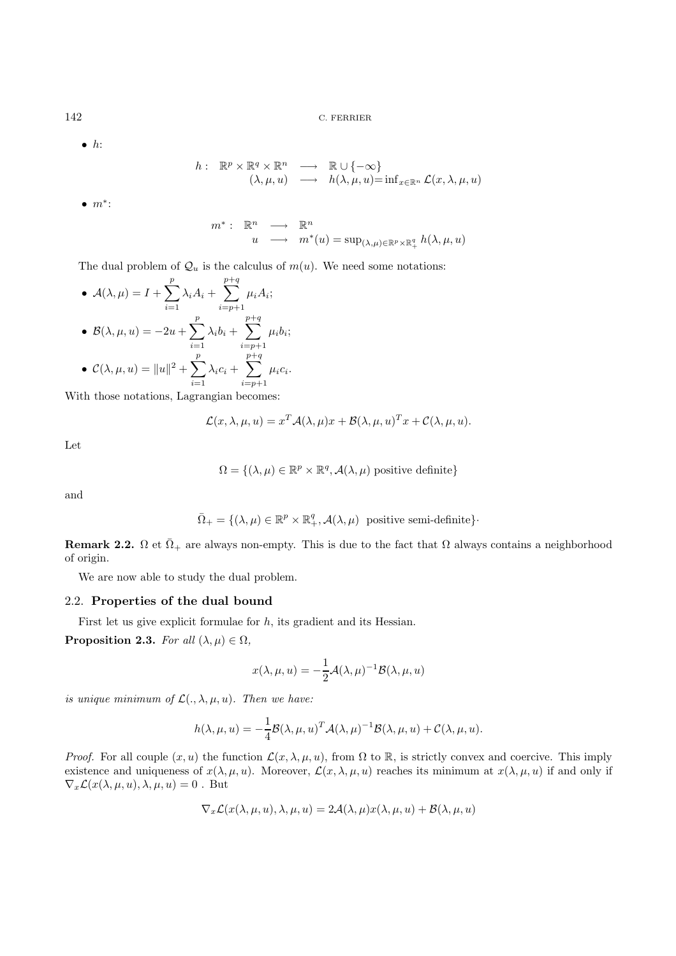$\bullet$  h:

$$
h: \mathbb{R}^p \times \mathbb{R}^q \times \mathbb{R}^n \longrightarrow \mathbb{R} \cup \{-\infty\}
$$
  

$$
(\lambda, \mu, u) \longrightarrow h(\lambda, \mu, u) = \inf_{x \in \mathbb{R}^n} \mathcal{L}(x, \lambda, \mu, u)
$$

•  $m^*$ :

$$
m^* : \mathbb{R}^n \longrightarrow \mathbb{R}^n
$$
  

$$
u \longrightarrow m^*(u) = \sup_{(\lambda,\mu) \in \mathbb{R}^p \times \mathbb{R}^q_+} h(\lambda,\mu,u)
$$

The dual problem of  $\mathcal{Q}_u$  is the calculus of  $m(u)$ . We need some notations:

• 
$$
\mathcal{A}(\lambda, \mu) = I + \sum_{i=1}^{p} \lambda_i A_i + \sum_{i=p+1}^{p+q} \mu_i A_i;
$$
  
\n•  $\mathcal{B}(\lambda, \mu, u) = -2u + \sum_{i=1}^{p} \lambda_i b_i + \sum_{i=p+1}^{p+q} \mu_i b_i;$   
\n•  $\mathcal{C}(\lambda, \mu, u) = ||u||^2 + \sum_{i=1}^{p} \lambda_i c_i + \sum_{i=p+1}^{p+q} \mu_i c_i.$ 

With those notations, Lagrangian becomes:

$$
\mathcal{L}(x,\lambda,\mu,u) = x^T \mathcal{A}(\lambda,\mu)x + \mathcal{B}(\lambda,\mu,u)^T x + \mathcal{C}(\lambda,\mu,u).
$$

Let

$$
\Omega = \{ (\lambda, \mu) \in \mathbb{R}^p \times \mathbb{R}^q, \mathcal{A}(\lambda, \mu) \text{ positive definite} \}
$$

and

$$
\overline{\Omega}_{+} = \{(\lambda, \mu) \in \mathbb{R}^{p} \times \mathbb{R}_{+}^{q}, \mathcal{A}(\lambda, \mu) \text{ positive semi-definite}\}.
$$

**Remark 2.2.**  $\Omega$  et  $\overline{\Omega}_+$  are always non-empty. This is due to the fact that  $\Omega$  always contains a neighborhood of origin.

We are now able to study the dual problem.

# 2.2. **Properties of the dual bound**

First let us give explicit formulae for  $h$ , its gradient and its Hessian.

**Proposition 2.3.** For all  $(\lambda, \mu) \in \Omega$ ,

$$
x(\lambda, \mu, u) = -\frac{1}{2} \mathcal{A}(\lambda, \mu)^{-1} \mathcal{B}(\lambda, \mu, u)
$$

is unique minimum of  $\mathcal{L}(.,\lambda,\mu,u)$ . Then we have:

$$
h(\lambda, \mu, u) = -\frac{1}{4} \mathcal{B}(\lambda, \mu, u)^T \mathcal{A}(\lambda, \mu)^{-1} \mathcal{B}(\lambda, \mu, u) + \mathcal{C}(\lambda, \mu, u).
$$

*Proof.* For all couple  $(x, u)$  the function  $\mathcal{L}(x, \lambda, \mu, u)$ , from  $\Omega$  to  $\mathbb{R}$ , is strictly convex and coercive. This imply existence and uniqueness of  $x(\lambda, \mu, u)$ . Moreover,  $\mathcal{L}(x, \lambda, \mu, u)$  reaches its minimum at  $x(\lambda, \mu, u)$  if and only if  $\nabla_x \mathcal{L}(x(\lambda, \mu, u), \lambda, \mu, u) = 0$ . But

$$
\nabla_x \mathcal{L}(x(\lambda, \mu, u), \lambda, \mu, u) = 2\mathcal{A}(\lambda, \mu)x(\lambda, \mu, u) + \mathcal{B}(\lambda, \mu, u)
$$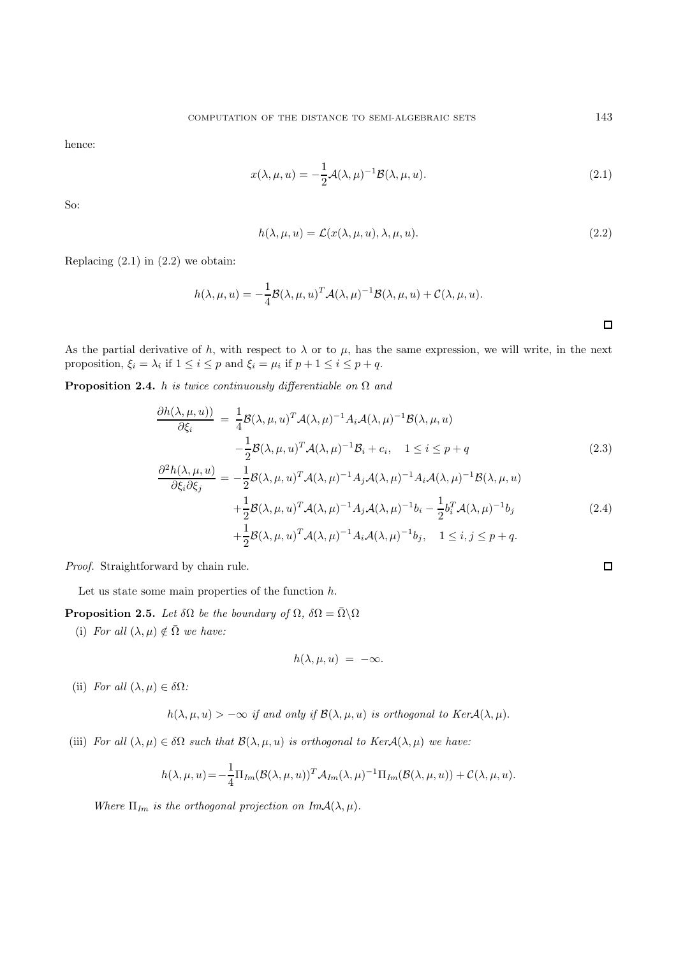hence:

$$
x(\lambda, \mu, u) = -\frac{1}{2} \mathcal{A}(\lambda, \mu)^{-1} \mathcal{B}(\lambda, \mu, u).
$$
 (2.1)

So:

$$
h(\lambda, \mu, u) = \mathcal{L}(x(\lambda, \mu, u), \lambda, \mu, u). \tag{2.2}
$$

Replacing  $(2.1)$  in  $(2.2)$  we obtain:

$$
h(\lambda, \mu, u) = -\frac{1}{4} \mathcal{B}(\lambda, \mu, u)^T \mathcal{A}(\lambda, \mu)^{-1} \mathcal{B}(\lambda, \mu, u) + \mathcal{C}(\lambda, \mu, u).
$$

As the partial derivative of h, with respect to  $\lambda$  or to  $\mu$ , has the same expression, we will write, in the next proposition,  $\xi_i = \lambda_i$  if  $1 \leq i \leq p$  and  $\xi_i = \mu_i$  if  $p + 1 \leq i \leq p + q$ .

**Proposition 2.4.** h is twice continuously differentiable on  $\Omega$  and

$$
\frac{\partial h(\lambda,\mu,u)}{\partial \xi_i} = \frac{1}{4} \mathcal{B}(\lambda,\mu,u)^T \mathcal{A}(\lambda,\mu)^{-1} A_i \mathcal{A}(\lambda,\mu)^{-1} \mathcal{B}(\lambda,\mu,u) \n- \frac{1}{2} \mathcal{B}(\lambda,\mu,u)^T \mathcal{A}(\lambda,\mu)^{-1} \mathcal{B}_i + c_i, \quad 1 \le i \le p+q \n\partial^2 h(\lambda,\mu,u) \qquad 1_{\mathcal{B}(\lambda,\mu)} \mathcal{F}(\lambda,\mu)^{-1} \mathcal{A}(\lambda,\mu)^{-1} \mathcal{A}(\lambda,\mu)^{-1} \mathcal{B}(\lambda,\mu)^{-1} \mathcal{B}(\lambda,\mu) \qquad (2.3)
$$

$$
\frac{\partial^2 h(\lambda, \mu, u)}{\partial \xi_i \partial \xi_j} = -\frac{1}{2} \mathcal{B}(\lambda, \mu, u)^T \mathcal{A}(\lambda, \mu)^{-1} A_j \mathcal{A}(\lambda, \mu)^{-1} A_i \mathcal{A}(\lambda, \mu)^{-1} \mathcal{B}(\lambda, \mu, u)
$$

$$
+ \frac{1}{2} \mathcal{B}(\lambda, \mu, u)^T \mathcal{A}(\lambda, \mu)^{-1} A_j \mathcal{A}(\lambda, \mu)^{-1} b_i - \frac{1}{2} b_i^T \mathcal{A}(\lambda, \mu)^{-1} b_j
$$

$$
+ \frac{1}{2} \mathcal{B}(\lambda, \mu, u)^T \mathcal{A}(\lambda, \mu)^{-1} A_i \mathcal{A}(\lambda, \mu)^{-1} b_j, \quad 1 \le i, j \le p+q.
$$
\n(2.4)

Proof. Straightforward by chain rule.

Let us state some main properties of the function  $h$ .

**Proposition 2.5.** Let  $\delta\Omega$  be the boundary of  $\Omega$ ,  $\delta\Omega = \overline{\Omega} \setminus \Omega$ 

(i) For all  $(\lambda, \mu) \notin \overline{\Omega}$  we have:

$$
h(\lambda,\mu,u) = -\infty.
$$

(ii) For all  $(\lambda, \mu) \in \delta\Omega$ :

$$
h(\lambda, \mu, u) > -\infty
$$
 if and only if  $\mathcal{B}(\lambda, \mu, u)$  is orthogonal to  $Ker\mathcal{A}(\lambda, \mu)$ .

(iii) For all  $(\lambda, \mu) \in \delta\Omega$  such that  $\mathcal{B}(\lambda, \mu, u)$  is orthogonal to  $Ker\mathcal{A}(\lambda, \mu)$  we have:

$$
h(\lambda,\mu,u) = -\frac{1}{4}\Pi_{Im}(\mathcal{B}(\lambda,\mu,u))^T \mathcal{A}_{Im}(\lambda,\mu)^{-1} \Pi_{Im}(\mathcal{B}(\lambda,\mu,u)) + \mathcal{C}(\lambda,\mu,u).
$$

Where  $\Pi_{Im}$  is the orthogonal projection on  $Im A(\lambda, \mu)$ .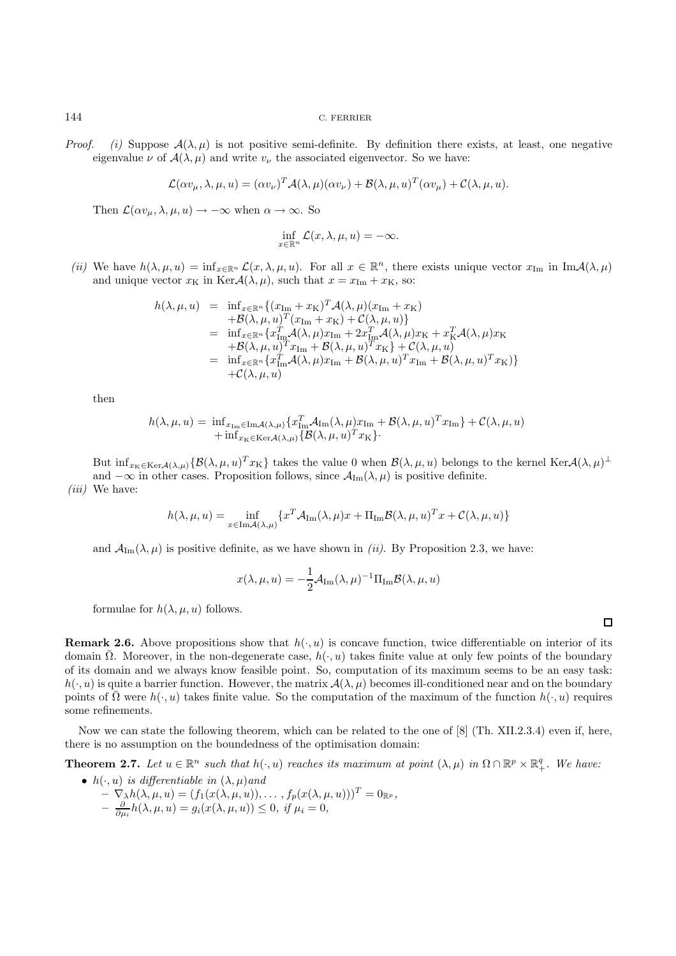*Proof.* (i) Suppose  $A(\lambda, \mu)$  is not positive semi-definite. By definition there exists, at least, one negative eigenvalue  $\nu$  of  $\mathcal{A}(\lambda,\mu)$  and write  $v_{\nu}$  the associated eigenvector. So we have:

$$
\mathcal{L}(\alpha v_{\mu}, \lambda, \mu, u) = (\alpha v_{\nu})^T \mathcal{A}(\lambda, \mu) (\alpha v_{\nu}) + \mathcal{B}(\lambda, \mu, u)^T (\alpha v_{\mu}) + \mathcal{C}(\lambda, \mu, u).
$$

Then  $\mathcal{L}(\alpha v_{\mu}, \lambda, \mu, u) \rightarrow -\infty$  when  $\alpha \rightarrow \infty$ . So

$$
\inf_{x \in \mathbb{R}^n} \mathcal{L}(x, \lambda, \mu, u) = -\infty.
$$

(ii) We have  $h(\lambda, \mu, u) = \inf_{x \in \mathbb{R}^n} \mathcal{L}(x, \lambda, \mu, u)$ . For all  $x \in \mathbb{R}^n$ , there exists unique vector  $x_{\text{Im}}$  in  $\text{Im} \mathcal{A}(\lambda, \mu)$ and unique vector  $x_K$  in Ker $\mathcal{A}(\lambda, \mu)$ , such that  $x = x_{Im} + x_K$ , so:

$$
h(\lambda, \mu, u) = \inf_{x \in \mathbb{R}^n} \{ (x_{\text{Im}} + x_{\text{K}})^T \mathcal{A}(\lambda, \mu)(x_{\text{Im}} + x_{\text{K}}) + \mathcal{B}(\lambda, \mu, u)^T (x_{\text{Im}} + x_{\text{K}}) + \mathcal{C}(\lambda, \mu, u) \}
$$
  
= 
$$
\inf_{x \in \mathbb{R}^n} \{ x_{\text{Im}}^T \mathcal{A}(\lambda, \mu) x_{\text{Im}} + 2x_{\text{Im}}^T \mathcal{A}(\lambda, \mu) x_{\text{K}} + x_{\text{K}}^T \mathcal{A}(\lambda, \mu) x_{\text{K}} + \mathcal{B}(\lambda, \mu, u)^T x_{\text{Im}} + \mathcal{B}(\lambda, \mu, u)^T x_{\text{K}} \} + \mathcal{C}(\lambda, \mu, u)
$$
  
= 
$$
\inf_{x \in \mathbb{R}^n} \{ x_{\text{Im}}^T \mathcal{A}(\lambda, \mu) x_{\text{Im}} + \mathcal{B}(\lambda, \mu, u)^T x_{\text{Im}} + \mathcal{B}(\lambda, \mu, u)^T x_{\text{K}} \} + \mathcal{C}(\lambda, \mu, u)
$$

then

$$
h(\lambda, \mu, u) = \inf_{x_{\text{Im}} \in \text{Im}\mathcal{A}(\lambda, \mu)} \{x_{\text{Im}}^T \mathcal{A}_{\text{Im}}(\lambda, \mu)x_{\text{Im}} + \mathcal{B}(\lambda, \mu, u)^T x_{\text{Im}}\} + \mathcal{C}(\lambda, \mu, u) + \inf_{x_{\text{K}} \in \text{Ker}\mathcal{A}(\lambda, \mu)} \{\mathcal{B}(\lambda, \mu, u)^T x_{\text{K}}\}.
$$

But  $\inf_{x_K \in \text{Ker} \mathcal{A}(\lambda,\mu)} \{ \mathcal{B}(\lambda,\mu, u)^T x_K \}$  takes the value 0 when  $\mathcal{B}(\lambda,\mu, u)$  belongs to the kernel Ker $\mathcal{A}(\lambda,\mu)^\perp$ and  $-\infty$  in other cases. Proposition follows, since  $\mathcal{A}_{\text{Im}}(\lambda,\mu)$  is positive definite.

 $(iii)$  We have:

$$
h(\lambda, \mu, u) = \inf_{x \in \text{Im} \mathcal{A}(\lambda, \mu)} \{x^T \mathcal{A}_{\text{Im}}(\lambda, \mu)x + \Pi_{\text{Im}} \mathcal{B}(\lambda, \mu, u)^T x + \mathcal{C}(\lambda, \mu, u)\}
$$

and  $\mathcal{A}_{Im}(\lambda, \mu)$  is positive definite, as we have shown in *(ii)*. By Proposition 2.3, we have:

$$
x(\lambda, \mu, u) = -\frac{1}{2} \mathcal{A}_{\text{Im}}(\lambda, \mu)^{-1} \Pi_{\text{Im}} \mathcal{B}(\lambda, \mu, u)
$$

formulae for  $h(\lambda, \mu, u)$  follows.

**Remark 2.6.** Above propositions show that  $h(\cdot, u)$  is concave function, twice differentiable on interior of its domain  $\overline{\Omega}$ . Moreover, in the non-degenerate case,  $h(\cdot, u)$  takes finite value at only few points of the boundary of its domain and we always know feasible point. So, computation of its maximum seems to be an easy task:  $h(\cdot, u)$  is quite a barrier function. However, the matrix  $\mathcal{A}(\lambda, \mu)$  becomes ill-conditioned near and on the boundary points of  $\Omega$  were  $h(\cdot, u)$  takes finite value. So the computation of the maximum of the function  $h(\cdot, u)$  requires some refinements.

Now we can state the following theorem, which can be related to the one of [8] (Th. XII.2.3.4) even if, here, there is no assumption on the boundedness of the optimisation domain:

**Theorem 2.7.** Let  $u \in \mathbb{R}^n$  such that  $h(\cdot, u)$  reaches its maximum at point  $(\lambda, \mu)$  in  $\Omega \cap \mathbb{R}^p \times \mathbb{R}^q_+$ . We have:

- $h(\cdot, u)$  is differentiable in  $(\lambda, \mu)$  and
	- $\nabla_{\lambda} h(\lambda, \mu, u) = (f_1(x(\lambda, \mu, u)), \ldots, f_p(x(\lambda, \mu, u)))^T = 0_{\mathbb{R}^p},$
	- $-\frac{\partial}{\partial \mu_i}h(\lambda,\mu,u)=g_i(x(\lambda,\mu,u))\leq 0, \text{ if } \mu_i=0,$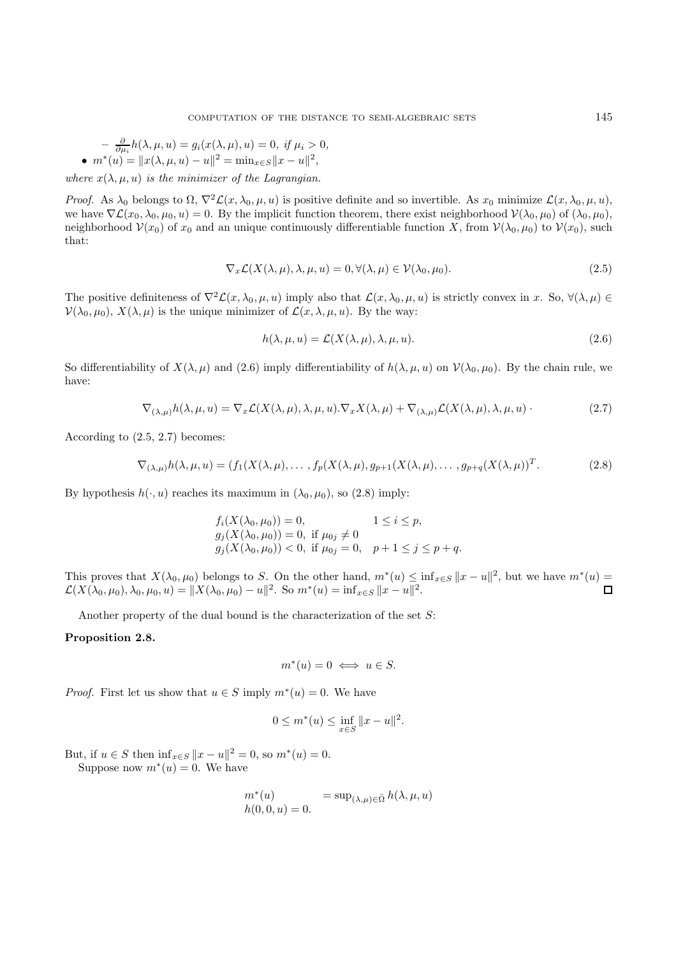$$
- \frac{\partial}{\partial \mu_i} h(\lambda, \mu, u) = g_i(x(\lambda, \mu), u) = 0, \text{ if } \mu_i > 0, \n\bullet m^*(u) = \|x(\lambda, \mu, u) - u\|^2 = \min_{x \in S} \|x - u\|^2,
$$

where  $x(\lambda, \mu, u)$  is the minimizer of the Lagrangian.

Proof. As  $\lambda_0$  belongs to  $\Omega$ ,  $\nabla^2 \mathcal{L}(x, \lambda_0, \mu, u)$  is positive definite and so invertible. As  $x_0$  minimize  $\mathcal{L}(x, \lambda_0, \mu, u)$ , we have  $\nabla \mathcal{L}(x_0, \lambda_0, \mu_0, u) = 0$ . By the implicit function theorem, there exist neighborhood  $\mathcal{V}(\lambda_0, \mu_0)$  of  $(\lambda_0, \mu_0)$ , neighborhood  $V(x_0)$  of  $x_0$  and an unique continuously differentiable function X, from  $V(\lambda_0, \mu_0)$  to  $V(x_0)$ , such that:

$$
\nabla_x \mathcal{L}(X(\lambda, \mu), \lambda, \mu, u) = 0, \forall (\lambda, \mu) \in \mathcal{V}(\lambda_0, \mu_0). \tag{2.5}
$$

The positive definiteness of  $\nabla^2 \mathcal{L}(x, \lambda_0, \mu, u)$  imply also that  $\mathcal{L}(x, \lambda_0, \mu, u)$  is strictly convex in x. So,  $\forall (\lambda, \mu) \in$  $\mathcal{V}(\lambda_0, \mu_0)$ ,  $X(\lambda, \mu)$  is the unique minimizer of  $\mathcal{L}(x, \lambda, \mu, u)$ . By the way:

$$
h(\lambda, \mu, u) = \mathcal{L}(X(\lambda, \mu), \lambda, \mu, u). \tag{2.6}
$$

So differentiability of  $X(\lambda, \mu)$  and (2.6) imply differentiability of  $h(\lambda, \mu, u)$  on  $\mathcal{V}(\lambda_0, \mu_0)$ . By the chain rule, we have:

$$
\nabla_{(\lambda,\mu)}h(\lambda,\mu,u) = \nabla_x \mathcal{L}(X(\lambda,\mu),\lambda,\mu,u).\nabla_x X(\lambda,\mu) + \nabla_{(\lambda,\mu)} \mathcal{L}(X(\lambda,\mu),\lambda,\mu,u).
$$
\n(2.7)

According to (2.5, 2.7) becomes:

$$
\nabla_{(\lambda,\mu)}h(\lambda,\mu,u) = (f_1(X(\lambda,\mu),\ldots,f_p(X(\lambda,\mu),g_{p+1}(X(\lambda,\mu),\ldots,g_{p+q}(X(\lambda,\mu)))^T. \tag{2.8}
$$

By hypothesis  $h(\cdot, u)$  reaches its maximum in  $(\lambda_0, \mu_0)$ , so (2.8) imply:

$$
f_i(X(\lambda_0, \mu_0)) = 0, \t 1 \le i \le p,g_j(X(\lambda_0, \mu_0)) = 0, \text{ if } \mu_{0j} \neq 0g_j(X(\lambda_0, \mu_0)) < 0, \text{ if } \mu_{0j} = 0, \t p+1 \le j \le p+q.
$$

This proves that  $X(\lambda_0, \mu_0)$  belongs to S. On the other hand,  $m^*(u) \leq \inf_{x \in S} ||x - u||^2$ , but we have  $m^*(u) = \mathcal{L}(X(\lambda_0, \mu_0), \lambda_0, \mu_0, u) = ||X(\lambda_0, \mu_0) - u||^2$ . So  $m^*(u) = \inf_{x \in S} ||x - u||^2$ .  $\mathcal{L}(X(\lambda_0, \mu_0), \lambda_0, \mu_0, u) = ||X(\lambda_0, \mu_0) - u||^2$ . So  $m^*(u) = \inf_{x \in S} ||x - u||^2$ .

Another property of the dual bound is the characterization of the set S:

#### **Proposition 2.8.**

$$
m^*(u) = 0 \iff u \in S.
$$

*Proof.* First let us show that  $u \in S$  imply  $m^*(u) = 0$ . We have

$$
0 \le m^*(u) \le \inf_{x \in S} ||x - u||^2.
$$

But, if  $u \in S$  then  $\inf_{x \in S} ||x - u||^2 = 0$ , so  $m^*(u) = 0$ .

Suppose now  $m^*(u) = 0$ . We have

$$
m^*(u) = \sup_{(\lambda,\mu)\in\bar{\Omega}} h(\lambda,\mu,u)
$$
  

$$
h(0,0,u) = 0.
$$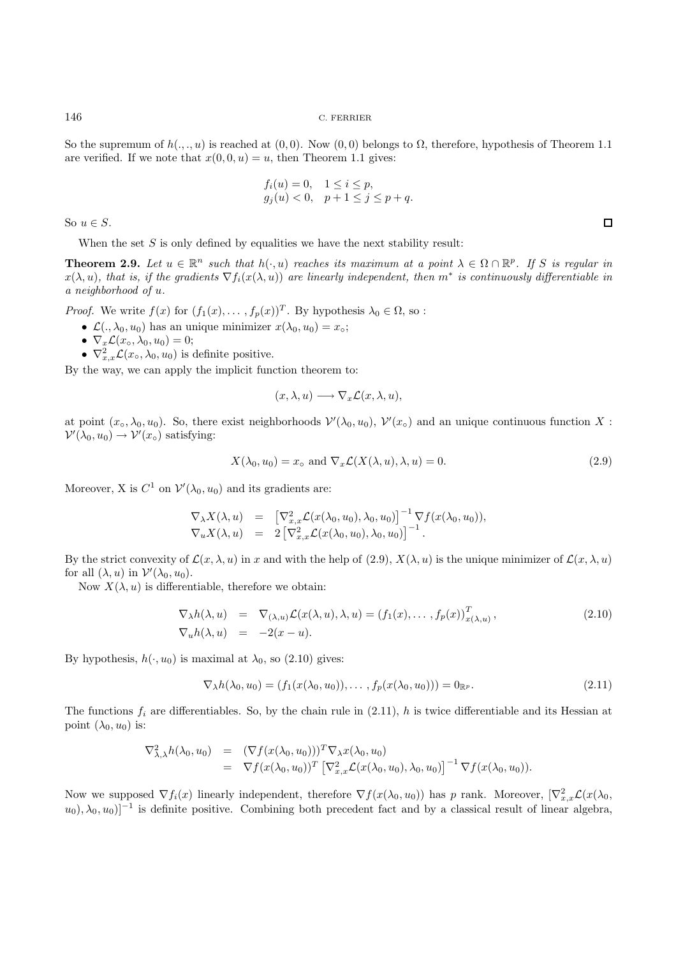So the supremum of  $h(.,.,u)$  is reached at  $(0,0)$ . Now  $(0,0)$  belongs to  $\Omega$ , therefore, hypothesis of Theorem 1.1 are verified. If we note that  $x(0, 0, u) = u$ , then Theorem 1.1 gives:

$$
f_i(u) = 0, \quad 1 \le i \le p, g_j(u) < 0, \quad p+1 \le j \le p+q.
$$

So  $u \in S$ .

When the set  $S$  is only defined by equalities we have the next stability result:

**Theorem 2.9.** Let  $u \in \mathbb{R}^n$  such that  $h(\cdot, u)$  reaches its maximum at a point  $\lambda \in \Omega \cap \mathbb{R}^p$ . If S is regular in  $x(\lambda, u)$ , that is, if the gradients  $\nabla f_i(x(\lambda, u))$  are linearly independent, then  $m^*$  is continuously differentiable in a neighborhood of u.

*Proof.* We write  $f(x)$  for  $(f_1(x),..., f_p(x))^T$ . By hypothesis  $\lambda_0 \in \Omega$ , so:

- $\mathcal{L}(\cdot, \lambda_0, u_0)$  has an unique minimizer  $x(\lambda_0, u_0) = x_{\circ};$
- $\nabla_x \mathcal{L}(x_\circ, \lambda_0, u_0) = 0;$
- $\nabla_{x,x}^2 \mathcal{L}(x_\circ, \lambda_0, u_0)$  is definite positive.

By the way, we can apply the implicit function theorem to:

$$
(x, \lambda, u) \longrightarrow \nabla_x \mathcal{L}(x, \lambda, u),
$$

at point  $(x_0, \lambda_0, u_0)$ . So, there exist neighborhoods  $\mathcal{V}'(\lambda_0, u_0)$ ,  $\mathcal{V}'(x_0)$  and an unique continuous function X :  $\mathcal{V}'(\lambda_0, u_0) \to \mathcal{V}'(x_0)$  satisfying:

$$
X(\lambda_0, u_0) = x_o \text{ and } \nabla_x \mathcal{L}(X(\lambda, u), \lambda, u) = 0.
$$
\n(2.9)

Moreover, X is  $C^1$  on  $\mathcal{V}'(\lambda_0, u_0)$  and its gradients are:

$$
\nabla_{\lambda} X(\lambda, u) = \left[ \nabla_{x,x}^2 \mathcal{L}(x(\lambda_0, u_0), \lambda_0, u_0) \right]^{-1} \nabla f(x(\lambda_0, u_0)),
$$
  
\n
$$
\nabla_u X(\lambda, u) = 2 \left[ \nabla_{x,x}^2 \mathcal{L}(x(\lambda_0, u_0), \lambda_0, u_0) \right]^{-1}.
$$

By the strict convexity of  $\mathcal{L}(x, \lambda, u)$  in x and with the help of (2.9),  $X(\lambda, u)$  is the unique minimizer of  $\mathcal{L}(x, \lambda, u)$ for all  $(\lambda, u)$  in  $\mathcal{V}'(\lambda_0, u_0)$ .

Now  $X(\lambda, u)$  is differentiable, therefore we obtain:

$$
\nabla_{\lambda}h(\lambda, u) = \nabla_{(\lambda, u)}\mathcal{L}(x(\lambda, u), \lambda, u) = (f_1(x), \dots, f_p(x))_{x(\lambda, u)}^T,
$$
\n
$$
\nabla_u h(\lambda, u) = -2(x - u).
$$
\n(2.10)

By hypothesis,  $h(\cdot, u_0)$  is maximal at  $\lambda_0$ , so (2.10) gives:

$$
\nabla_{\lambda}h(\lambda_0, u_0) = (f_1(x(\lambda_0, u_0)), \dots, f_p(x(\lambda_0, u_0))) = 0_{\mathbb{R}^p}.
$$
\n(2.11)

The functions  $f_i$  are differentiables. So, by the chain rule in  $(2.11)$ , h is twice differentiable and its Hessian at point  $(\lambda_0, u_0)$  is:

$$
\nabla^2_{\lambda,\lambda} h(\lambda_0, u_0) = (\nabla f(x(\lambda_0, u_0)))^T \nabla_\lambda x(\lambda_0, u_0)
$$
  
= 
$$
\nabla f(x(\lambda_0, u_0))^T [\nabla^2_{x,x} \mathcal{L}(x(\lambda_0, u_0), \lambda_0, u_0)]^{-1} \nabla f(x(\lambda_0, u_0)).
$$

Now we supposed  $\nabla f_i(x)$  linearly independent, therefore  $\nabla f(x(\lambda_0, u_0))$  has p rank. Moreover,  $[\nabla_{x,x}^2 \mathcal{L}(x(\lambda_0, u_0))]$  $u_0$ ,  $\lambda_0$ ,  $u_0$ ]<sup>-1</sup> is definite positive. Combining both precedent fact and by a classical result of linear algebra,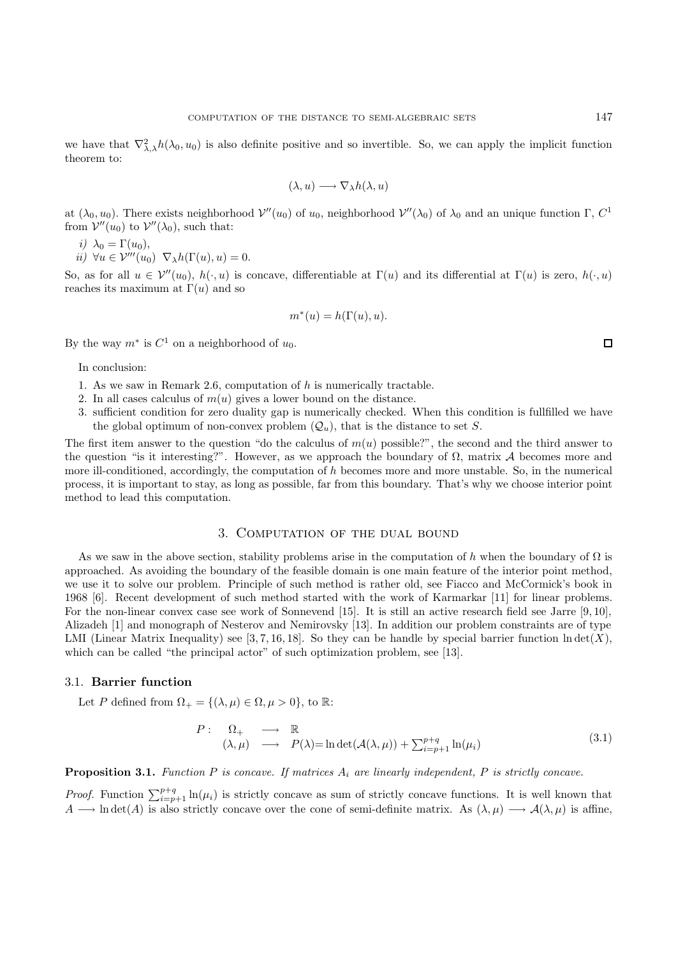we have that  $\nabla^2_{\lambda,\lambda}h(\lambda_0, u_0)$  is also definite positive and so invertible. So, we can apply the implicit function theorem to:

$$
(\lambda, u) \longrightarrow \nabla_{\lambda} h(\lambda, u)
$$

at  $(\lambda_0, u_0)$ . There exists neighborhood  $\mathcal{V}''(u_0)$  of  $u_0$ , neighborhood  $\mathcal{V}''(\lambda_0)$  of  $\lambda_0$  and an unique function  $\Gamma$ ,  $C^1$ from  $V''(u_0)$  to  $V''(\lambda_0)$ , such that:

$$
i) \ \lambda_0 = \Gamma(u_0),
$$

 $ii) \ \forall u \in \mathcal{V}'''(u_0) \ \nabla_{\lambda} h(\Gamma(u), u) = 0.$ 

So, as for all  $u \in \mathcal{V}''(u_0), h(\cdot, u)$  is concave, differentiable at  $\Gamma(u)$  and its differential at  $\Gamma(u)$  is zero,  $h(\cdot, u)$ reaches its maximum at  $\Gamma(u)$  and so

$$
m^*(u) = h(\Gamma(u), u).
$$

By the way  $m^*$  is  $C^1$  on a neighborhood of  $u_0$ .

In conclusion:

- 1. As we saw in Remark 2.6, computation of h is numerically tractable.
- 2. In all cases calculus of  $m(u)$  gives a lower bound on the distance.
- 3. sufficient condition for zero duality gap is numerically checked. When this condition is fullfilled we have the global optimum of non-convex problem  $(Q_u)$ , that is the distance to set S.

The first item answer to the question "do the calculus of  $m(u)$  possible?", the second and the third answer to the question "is it interesting?". However, as we approach the boundary of  $\Omega$ , matrix A becomes more and more ill-conditioned, accordingly, the computation of  $h$  becomes more and more unstable. So, in the numerical process, it is important to stay, as long as possible, far from this boundary. That's why we choose interior point method to lead this computation.

## 3. Computation of the dual bound

As we saw in the above section, stability problems arise in the computation of h when the boundary of  $\Omega$  is approached. As avoiding the boundary of the feasible domain is one main feature of the interior point method, we use it to solve our problem. Principle of such method is rather old, see Fiacco and McCormick's book in 1968 [6]. Recent development of such method started with the work of Karmarkar [11] for linear problems. For the non-linear convex case see work of Sonnevend [15]. It is still an active research field see Jarre [9, 10], Alizadeh [1] and monograph of Nesterov and Nemirovsky [13]. In addition our problem constraints are of type LMI (Linear Matrix Inequality) see [3, 7, 16, 18]. So they can be handle by special barrier function  $\ln \det(X)$ , which can be called "the principal actor" of such optimization problem, see [13].

## 3.1. **Barrier function**

Let P defined from  $\Omega_+ = \{(\lambda, \mu) \in \Omega, \mu > 0\}$ , to R:

$$
P: \quad \Omega_+ \longrightarrow \mathbb{R}
$$
  
\n
$$
(\lambda, \mu) \longrightarrow P(\lambda) = \ln \det(\mathcal{A}(\lambda, \mu)) + \sum_{i=p+1}^{p+q} \ln(\mu_i)
$$
\n(3.1)

**Proposition 3.1.** Function P is concave. If matrices  $A_i$  are linearly independent, P is strictly concave.

*Proof.* Function  $\sum_{i=p+1}^{p+q} \ln(\mu_i)$  is strictly concave as sum of strictly concave functions. It is well known that A  $\rightarrow$  ln det(A) is also strictly concave over the cone of semi-definite matrix. As  $(\lambda, \mu) \rightarrow \mathcal{A}(\lambda, \mu)$  is affine,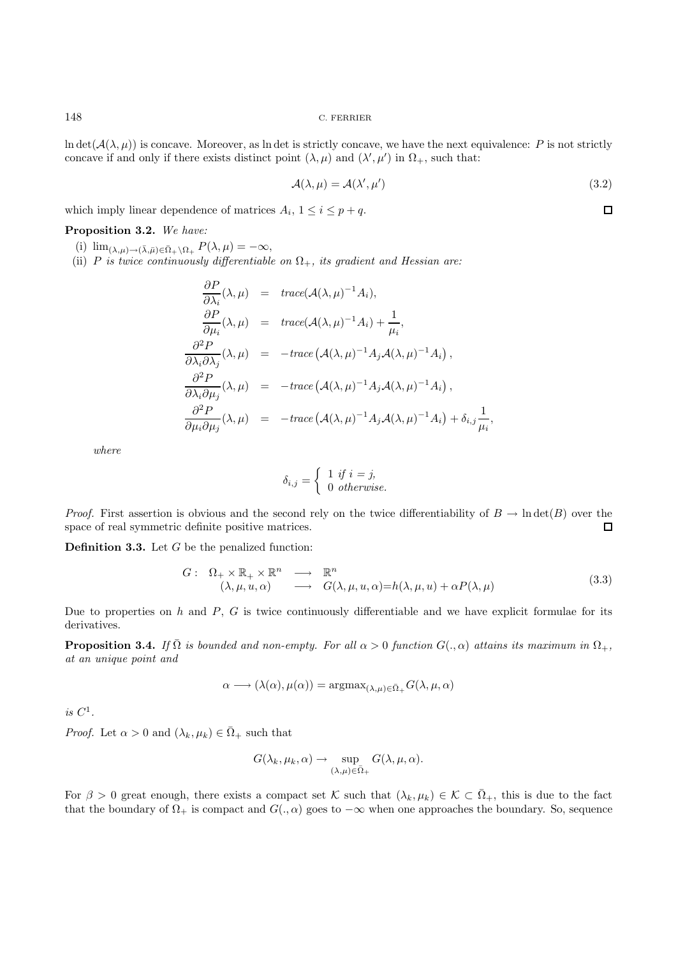$\ln \det(A(\lambda, \mu))$  is concave. Moreover, as ln det is strictly concave, we have the next equivalence: P is not strictly concave if and only if there exists distinct point  $(\lambda, \mu)$  and  $(\lambda', \mu')$  in  $\Omega_+$ , such that:

$$
\mathcal{A}(\lambda,\mu) = \mathcal{A}(\lambda',\mu')\tag{3.2}
$$

 $\Box$ 

which imply linear dependence of matrices  $A_i$ ,  $1 \leq i \leq p+q$ .

**Proposition 3.2.** We have:

- (i)  $\lim_{(\lambda,\mu)\to(\bar{\lambda},\bar{\mu})\in\bar{\Omega}_+\setminus\Omega_+} P(\lambda,\mu) = -\infty$ ,
- (ii) P is twice continuously differentiable on  $\Omega_{+}$ , its gradient and Hessian are:

$$
\frac{\partial P}{\partial \lambda_i}(\lambda, \mu) = \text{trace}(\mathcal{A}(\lambda, \mu)^{-1} A_i),
$$
\n
$$
\frac{\partial P}{\partial \mu_i}(\lambda, \mu) = \text{trace}(\mathcal{A}(\lambda, \mu)^{-1} A_i) + \frac{1}{\mu_i},
$$
\n
$$
\frac{\partial^2 P}{\partial \lambda_i \partial \lambda_j}(\lambda, \mu) = -\text{trace}(\mathcal{A}(\lambda, \mu)^{-1} A_j \mathcal{A}(\lambda, \mu)^{-1} A_i),
$$
\n
$$
\frac{\partial^2 P}{\partial \lambda_i \partial \mu_j}(\lambda, \mu) = -\text{trace}(\mathcal{A}(\lambda, \mu)^{-1} A_j \mathcal{A}(\lambda, \mu)^{-1} A_i),
$$
\n
$$
\frac{\partial^2 P}{\partial \mu_i \partial \mu_j}(\lambda, \mu) = -\text{trace}(\mathcal{A}(\lambda, \mu)^{-1} A_j \mathcal{A}(\lambda, \mu)^{-1} A_i) + \delta_{i,j} \frac{1}{\mu_i},
$$

where

$$
\delta_{i,j} = \begin{cases} 1 \text{ if } i = j, \\ 0 \text{ otherwise.} \end{cases}
$$

*Proof.* First assertion is obvious and the second rely on the twice differentiability of  $B \to \text{Indet}(B)$  over the space of real symmetric definite positive matrices.  $\Box$ 

**Definition 3.3.** Let G be the penalized function:

$$
G: \Omega_+ \times \mathbb{R}_+ \times \mathbb{R}^n \longrightarrow \mathbb{R}^n
$$
  

$$
(\lambda, \mu, u, \alpha) \longrightarrow G(\lambda, \mu, u, \alpha) = h(\lambda, \mu, u) + \alpha P(\lambda, \mu)
$$
  
(3.3)

Due to properties on h and  $P$ ,  $G$  is twice continuously differentiable and we have explicit formulae for its derivatives.

**Proposition 3.4.** If  $\overline{\Omega}$  is bounded and non-empty. For all  $\alpha > 0$  function  $G(., \alpha)$  attains its maximum in  $\Omega_+$ , at an unique point and

$$
\alpha \longrightarrow (\lambda(\alpha), \mu(\alpha)) = \operatorname{argmax}_{(\lambda,\mu) \in \bar{\Omega}_+} G(\lambda, \mu, \alpha)
$$

is  $C^1$ .

*Proof.* Let  $\alpha > 0$  and  $(\lambda_k, \mu_k) \in \overline{\Omega}_+$  such that

$$
G(\lambda_k, \mu_k, \alpha) \to \sup_{(\lambda,\mu) \in \overline{\Omega}_+} G(\lambda, \mu, \alpha).
$$

For  $\beta > 0$  great enough, there exists a compact set K such that  $(\lambda_k, \mu_k) \in \mathcal{K} \subset \overline{\Omega}_+$ , this is due to the fact that the boundary of  $\Omega_+$  is compact and  $G(., \alpha)$  goes to  $-\infty$  when one approaches the boundary. So, sequence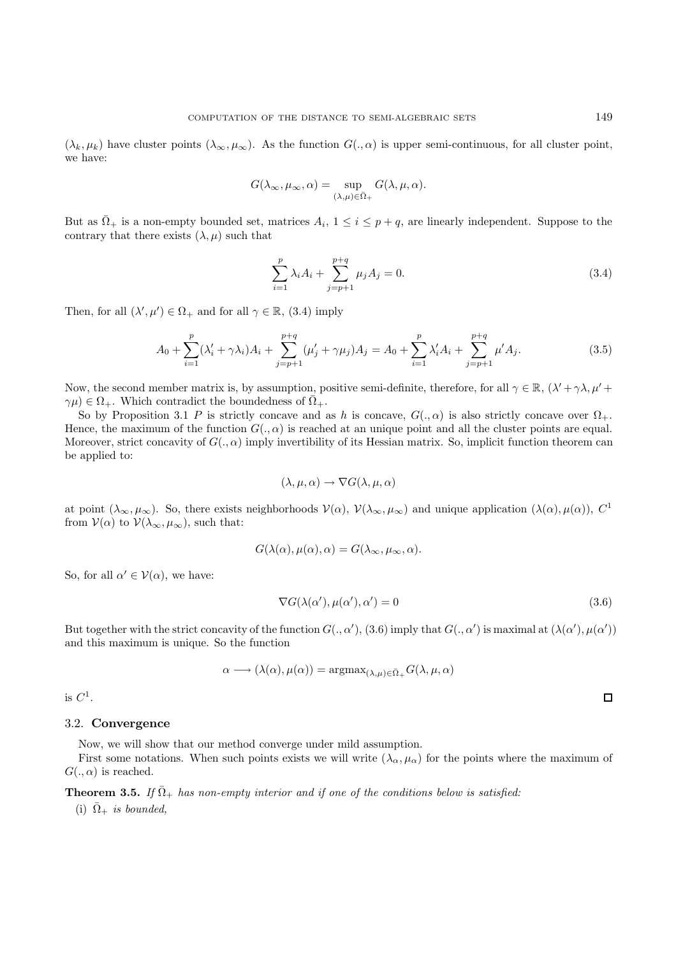$(\lambda_k, \mu_k)$  have cluster points  $(\lambda_\infty, \mu_\infty)$ . As the function  $G(., \alpha)$  is upper semi-continuous, for all cluster point, we have:

$$
G(\lambda_{\infty}, \mu_{\infty}, \alpha) = \sup_{(\lambda, \mu) \in \bar{\Omega}_{+}} G(\lambda, \mu, \alpha).
$$

But as  $\overline{\Omega}_+$  is a non-empty bounded set, matrices  $A_i$ ,  $1 \leq i \leq p+q$ , are linearly independent. Suppose to the contrary that there exists  $(\lambda, \mu)$  such that

$$
\sum_{i=1}^{p} \lambda_i A_i + \sum_{j=p+1}^{p+q} \mu_j A_j = 0.
$$
 (3.4)

Then, for all  $(\lambda', \mu') \in \Omega_+$  and for all  $\gamma \in \mathbb{R}$ , (3.4) imply

$$
A_0 + \sum_{i=1}^p (\lambda'_i + \gamma \lambda_i) A_i + \sum_{j=p+1}^{p+q} (\mu'_j + \gamma \mu_j) A_j = A_0 + \sum_{i=1}^p \lambda'_i A_i + \sum_{j=p+1}^{p+q} \mu' A_j.
$$
 (3.5)

Now, the second member matrix is, by assumption, positive semi-definite, therefore, for all  $\gamma \in \mathbb{R}$ ,  $(\lambda' + \gamma \lambda, \mu' + \gamma \lambda')$  $\gamma\mu$ )  $\in \Omega_+$ . Which contradict the boundedness of  $\overline{\Omega}_+$ .

So by Proposition 3.1 P is strictly concave and as h is concave,  $G(.,\alpha)$  is also strictly concave over  $\Omega_+$ . Hence, the maximum of the function  $G(., \alpha)$  is reached at an unique point and all the cluster points are equal. Moreover, strict concavity of  $G(., \alpha)$  imply invertibility of its Hessian matrix. So, implicit function theorem can be applied to:

$$
(\lambda, \mu, \alpha) \to \nabla G(\lambda, \mu, \alpha)
$$

at point  $(\lambda_{\infty}, \mu_{\infty})$ . So, there exists neighborhoods  $\mathcal{V}(\alpha)$ ,  $\mathcal{V}(\lambda_{\infty}, \mu_{\infty})$  and unique application  $(\lambda(\alpha), \mu(\alpha))$ ,  $C^{1}$ from  $\mathcal{V}(\alpha)$  to  $\mathcal{V}(\lambda_{\infty}, \mu_{\infty})$ , such that:

$$
G(\lambda(\alpha), \mu(\alpha), \alpha) = G(\lambda_{\infty}, \mu_{\infty}, \alpha).
$$

So, for all  $\alpha' \in \mathcal{V}(\alpha)$ , we have:

$$
\nabla G(\lambda(\alpha'), \mu(\alpha'), \alpha') = 0 \tag{3.6}
$$

But together with the strict concavity of the function  $G(.,\alpha'), (3.6)$  imply that  $G(.,\alpha')$  is maximal at  $(\lambda(\alpha'),\mu(\alpha'))$ and this maximum is unique. So the function

$$
\alpha \longrightarrow (\lambda(\alpha), \mu(\alpha)) = \operatorname{argmax}_{(\lambda,\mu) \in \bar{\Omega}_+} G(\lambda, \mu, \alpha)
$$

is  $C^1$ .

#### 3.2. **Convergence**

Now, we will show that our method converge under mild assumption.

First some notations. When such points exists we will write  $(\lambda_{\alpha}, \mu_{\alpha})$  for the points where the maximum of  $G(., \alpha)$  is reached.

**Theorem 3.5.** If  $\overline{\Omega}_{+}$  has non-empty interior and if one of the conditions below is satisfied:

(i)  $\bar{\Omega}_+$  is bounded,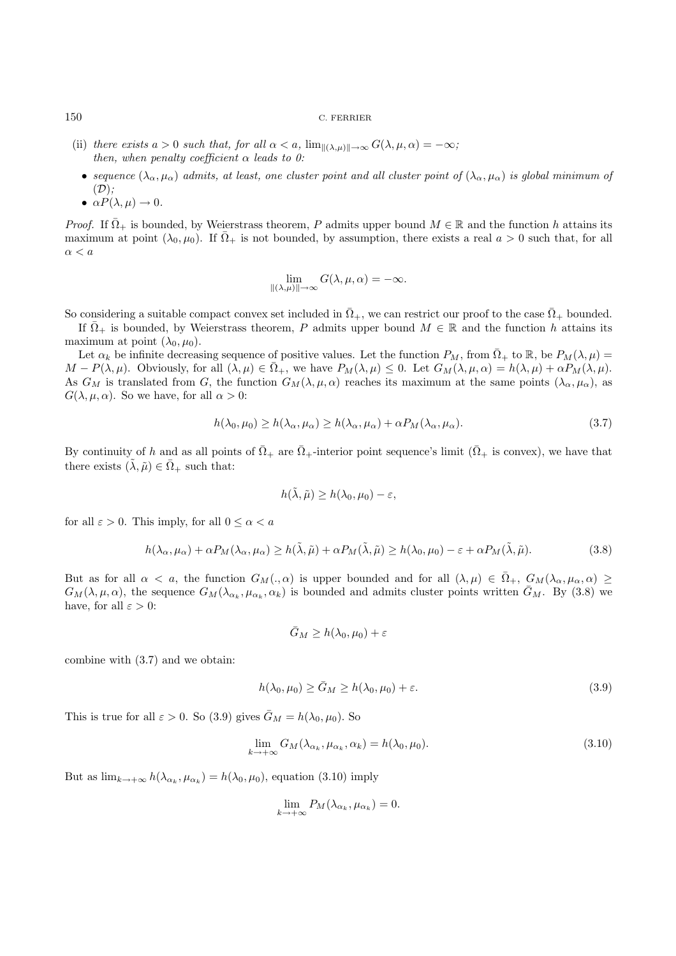- (ii) there exists  $a > 0$  such that, for all  $\alpha < a$ ,  $\lim_{\lVert (\lambda,\mu) \rVert \to \infty} G(\lambda,\mu,\alpha) = -\infty$ ; then, when penalty coefficient  $\alpha$  leads to 0:
- sequence  $(\lambda_{\alpha}, \mu_{\alpha})$  admits, at least, one cluster point and all cluster point of  $(\lambda_{\alpha}, \mu_{\alpha})$  is global minimum of  $(D)$ :
- $\alpha P(\lambda, \mu) \rightarrow 0$ .

*Proof.* If  $\overline{\Omega}_+$  is bounded, by Weierstrass theorem, P admits upper bound  $M \in \mathbb{R}$  and the function h attains its maximum at point  $(\lambda_0, \mu_0)$ . If  $\Omega_+$  is not bounded, by assumption, there exists a real  $a > 0$  such that, for all  $\alpha < a$ 

$$
\lim_{\|(\lambda,\mu)\|\to\infty} G(\lambda,\mu,\alpha) = -\infty.
$$

So considering a suitable compact convex set included in  $\overline{\Omega}_{+}$ , we can restrict our proof to the case  $\overline{\Omega}_{+}$  bounded.

If  $\overline{\Omega}_+$  is bounded, by Weierstrass theorem, P admits upper bound  $M \in \mathbb{R}$  and the function h attains its maximum at point  $(\lambda_0, \mu_0)$ .

Let  $\alpha_k$  be infinite decreasing sequence of positive values. Let the function  $P_M$ , from  $\overline{\Omega}_+$  to  $\mathbb{R}$ , be  $P_M(\lambda,\mu)$  $M - P(\lambda, \mu)$ . Obviously, for all  $(\lambda, \mu) \in \overline{\Omega}_+$ , we have  $P_M(\lambda, \mu) \leq 0$ . Let  $G_M(\lambda, \mu, \alpha) = h(\lambda, \mu) + \alpha P_M(\lambda, \mu)$ . As  $G_M$  is translated from G, the function  $G_M(\lambda, \mu, \alpha)$  reaches its maximum at the same points  $(\lambda_\alpha, \mu_\alpha)$ , as  $G(\lambda, \mu, \alpha)$ . So we have, for all  $\alpha > 0$ :

$$
h(\lambda_0, \mu_0) \ge h(\lambda_\alpha, \mu_\alpha) \ge h(\lambda_\alpha, \mu_\alpha) + \alpha P_M(\lambda_\alpha, \mu_\alpha). \tag{3.7}
$$

By continuity of h and as all points of  $\overline{\Omega}_+$  are  $\overline{\Omega}_+$ -interior point sequence's limit ( $\overline{\Omega}_+$  is convex), we have that there exists  $(\tilde{\lambda}, \tilde{\mu}) \in \overline{\Omega}_+$  such that:

$$
h(\tilde{\lambda}, \tilde{\mu}) \ge h(\lambda_0, \mu_0) - \varepsilon,
$$

for all  $\varepsilon > 0$ . This imply, for all  $0 \le \alpha < a$ 

$$
h(\lambda_{\alpha}, \mu_{\alpha}) + \alpha P_M(\lambda_{\alpha}, \mu_{\alpha}) \ge h(\tilde{\lambda}, \tilde{\mu}) + \alpha P_M(\tilde{\lambda}, \tilde{\mu}) \ge h(\lambda_0, \mu_0) - \varepsilon + \alpha P_M(\tilde{\lambda}, \tilde{\mu}).
$$
\n(3.8)

But as for all  $\alpha < a$ , the function  $G_M(., \alpha)$  is upper bounded and for all  $(\lambda, \mu) \in \overline{\Omega}_+$ ,  $G_M(\lambda_\alpha, \mu_\alpha, \alpha) \geq$  $G_M(\lambda, \mu, \alpha)$ , the sequence  $G_M(\lambda_{\alpha_k}, \mu_{\alpha_k}, \alpha_k)$  is bounded and admits cluster points written  $\bar{G}_M$ . By (3.8) we have, for all  $\varepsilon > 0$ :

$$
\bar{G}_M \ge h(\lambda_0, \mu_0) + \varepsilon
$$

combine with (3.7) and we obtain:

$$
h(\lambda_0, \mu_0) \ge \bar{G}_M \ge h(\lambda_0, \mu_0) + \varepsilon. \tag{3.9}
$$

This is true for all  $\varepsilon > 0$ . So (3.9) gives  $\bar{G}_M = h(\lambda_0, \mu_0)$ . So

$$
\lim_{k \to +\infty} G_M(\lambda_{\alpha_k}, \mu_{\alpha_k}, \alpha_k) = h(\lambda_0, \mu_0). \tag{3.10}
$$

But as  $\lim_{k\to+\infty} h(\lambda_{\alpha_k}, \mu_{\alpha_k}) = h(\lambda_0, \mu_0)$ , equation (3.10) imply

$$
\lim_{k \to +\infty} P_M(\lambda_{\alpha_k}, \mu_{\alpha_k}) = 0.
$$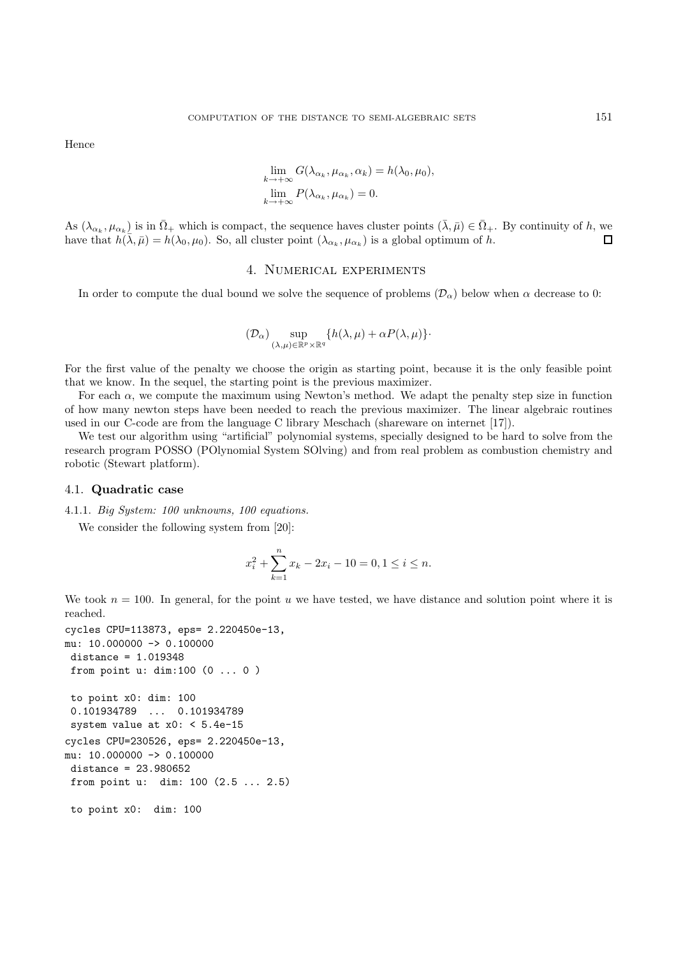Hence

$$
\lim_{k \to +\infty} G(\lambda_{\alpha_k}, \mu_{\alpha_k}, \alpha_k) = h(\lambda_0, \mu_0),
$$
  

$$
\lim_{k \to +\infty} P(\lambda_{\alpha_k}, \mu_{\alpha_k}) = 0.
$$

As  $(\lambda_{\alpha_k}, \mu_{\alpha_k})$  is in  $\overline{\Omega}_+$  which is compact, the sequence haves cluster points  $(\overline{\lambda}, \overline{\mu}) \in \overline{\Omega}_+$ . By continuity of h, we have that  $h(\bar{\lambda}, \bar{\mu}) = h(\lambda_0, \mu_0)$ . So, all cluster point  $(\lambda_{\alpha_k}, \mu_{\alpha_k})$  is a global optimum of h.  $\Box$ 

# 4. Numerical experiments

In order to compute the dual bound we solve the sequence of problems  $(\mathcal{D}_{\alpha})$  below when  $\alpha$  decrease to 0:

$$
(\mathcal{D}_\alpha)\sup_{(\lambda,\mu)\in\mathbb{R}^p\times\mathbb{R}^q}\{h(\lambda,\mu)+\alpha P(\lambda,\mu)\}\cdot
$$

For the first value of the penalty we choose the origin as starting point, because it is the only feasible point that we know. In the sequel, the starting point is the previous maximizer.

For each  $\alpha$ , we compute the maximum using Newton's method. We adapt the penalty step size in function of how many newton steps have been needed to reach the previous maximizer. The linear algebraic routines used in our C-code are from the language C library Meschach (shareware on internet [17]).

We test our algorithm using "artificial" polynomial systems, specially designed to be hard to solve from the research program POSSO (POlynomial System SOlving) and from real problem as combustion chemistry and robotic (Stewart platform).

# 4.1. **Quadratic case**

4.1.1. Big System: 100 unknowns, 100 equations.

We consider the following system from [20]:

$$
x_i^2 + \sum_{k=1}^n x_k - 2x_i - 10 = 0, 1 \le i \le n.
$$

We took  $n = 100$ . In general, for the point u we have tested, we have distance and solution point where it is reached.

```
cycles CPU=113873, eps= 2.220450e-13,
mu: 10.000000 \rightarrow 0.100000distance = 1.019348
 from point u: dim:100 (0 ... 0 )
 to point x0: dim: 100
 0.101934789 ... 0.101934789
 system value at x0: < 5.4e-15
cycles CPU=230526, eps= 2.220450e-13,
mu: 10.000000 \rightarrow 0.100000distance = 23.980652
 from point u: dim: 100 (2.5 ... 2.5)
 to point x0: dim: 100
```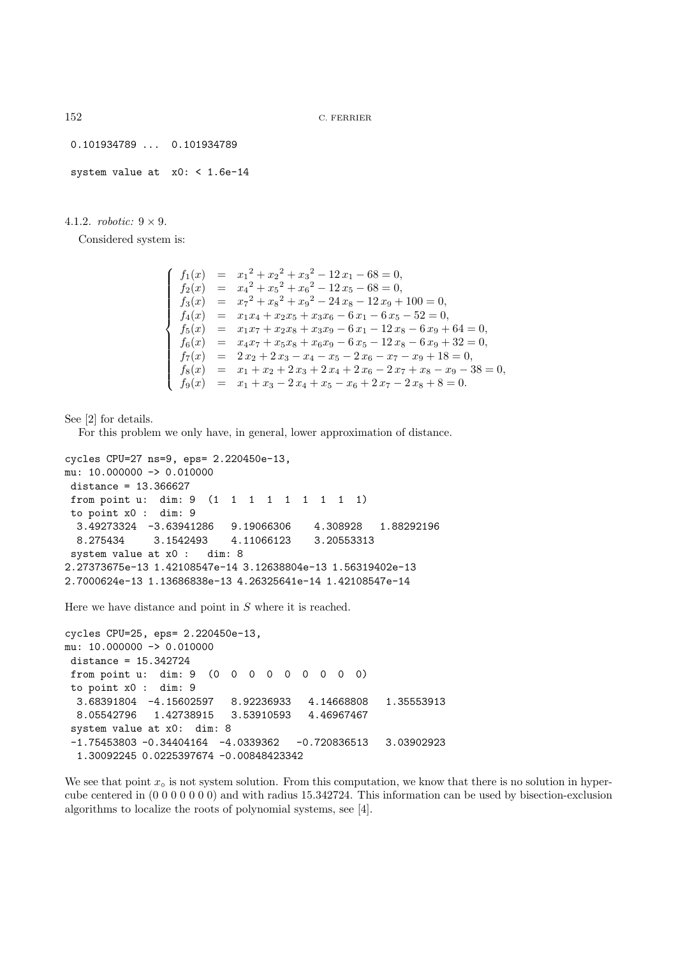0.101934789 ... 0.101934789

system value at x0: < 1.6e-14

# 4.1.2. *robotic*:  $9 \times 9$ .

Considered system is:

|  | $f_1(x) = x_1^2 + x_2^2 + x_3^2 - 12x_1 - 68 = 0,$                     |
|--|------------------------------------------------------------------------|
|  | $f_2(x) = x_4^2 + x_5^2 + x_6^2 - 12x_5 - 68 = 0,$                     |
|  | $f_3(x) = x_7^2 + x_8^2 + x_9^2 - 24x_8 - 12x_9 + 100 = 0,$            |
|  | $f_4(x) = x_1x_4 + x_2x_5 + x_3x_6 - 6x_1 - 6x_5 - 52 = 0,$            |
|  | $f_5(x) = x_1x_7 + x_2x_8 + x_3x_9 - 6x_1 - 12x_8 - 6x_9 + 64 = 0,$    |
|  | $f_6(x) = x_4x_7 + x_5x_8 + x_6x_9 - 6x_5 - 12x_8 - 6x_9 + 32 = 0,$    |
|  | $f_7(x) = 2 x_2 + 2 x_3 - x_4 - x_5 - 2 x_6 - x_7 - x_9 + 18 = 0,$     |
|  | $f_8(x) = x_1 + x_2 + 2x_3 + 2x_4 + 2x_6 - 2x_7 + x_8 - x_9 - 38 = 0,$ |
|  | $f_9(x) = x_1 + x_3 - 2x_4 + x_5 - x_6 + 2x_7 - 2x_8 + 8 = 0.$         |

See [2] for details.

For this problem we only have, in general, lower approximation of distance.

```
cycles CPU=27 ns=9, eps= 2.220450e-13,
mu: 10.000000 \rightarrow 0.010000distance = 13.366627
from point u: dim: 9 (1 1 1 1 1 1 1 1 1)
to point x0 : dim: 9
 3.49273324 -3.63941286 9.19066306 4.308928 1.88292196
 8.275434 3.1542493 4.11066123 3.20553313
system value at x0 : dim: 8
2.27373675e-13 1.42108547e-14 3.12638804e-13 1.56319402e-13
2.7000624e-13 1.13686838e-13 4.26325641e-14 1.42108547e-14
```
Here we have distance and point in S where it is reached.

```
cycles CPU=25, eps= 2.220450e-13,
mu: 10.000000 \rightarrow 0.010000distance = 15.342724
 from point u: dim: 9 (0 0 0 0 0 0 0 0 0)
 to point x0 : dim: 9
  3.68391804 -4.15602597 8.92236933 4.14668808 1.35553913
 8.05542796 1.42738915 3.53910593 4.46967467
 system value at x0: dim: 8
 -1.75453803 -0.34404164 -4.0339362 -0.720836513 3.03902923
  1.30092245 0.0225397674 -0.00848423342
```
We see that point  $x<sub>o</sub>$  is not system solution. From this computation, we know that there is no solution in hypercube centered in (0 0 0 0 0 0 0) and with radius 15.342724. This information can be used by bisection-exclusion algorithms to localize the roots of polynomial systems, see [4].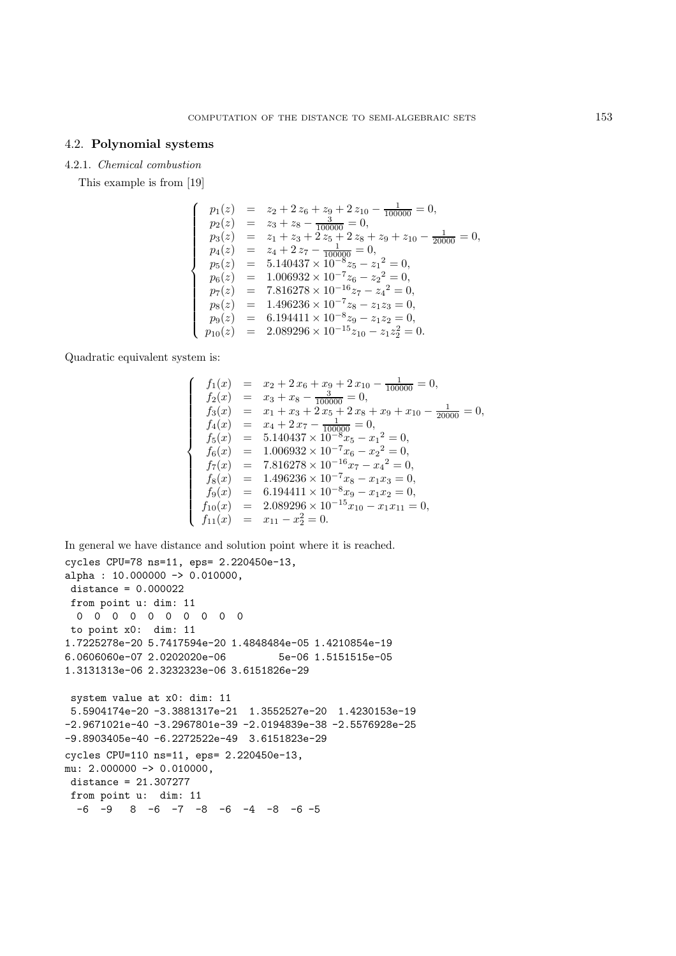# 4.2. **Polynomial systems**

#### 4.2.1. Chemical combustion

This example is from [19]

$$
\left\{\begin{array}{rcl} p_1(z) &=& z_2 + 2\,z_6 + z_9 + 2\,z_{10} - \frac{1}{100000} = 0, \\ p_2(z) &=& z_3 + z_8 - \frac{3}{100000} = 0, \\ p_3(z) &=& z_1 + z_3 + 2\,z_5 + 2\,z_8 + z_9 + z_{10} - \frac{1}{20000} = 0, \\ p_4(z) &=& z_4 + 2\,z_7 - \frac{1}{100000} = 0, \\ p_5(z) &=& 5.140437 \times 10^{-8} z_5 - z_1^2 = 0, \\ p_6(z) &=& 1.006932 \times 10^{-7} z_6 - z_2^2 = 0, \\ p_7(z) &=& 7.816278 \times 10^{-16} z_7 - z_4^2 = 0, \\ p_8(z) &=& 1.496236 \times 10^{-7} z_8 - z_1 z_3 = 0, \\ p_9(z) &=& 6.194411 \times 10^{-8} z_9 - z_1 z_2 = 0, \\ p_{10}(z) &=& 2.089296 \times 10^{-15} z_{10} - z_1 z_2^2 = 0. \end{array}\right.
$$

Quadratic equivalent system is:

$$
\begin{cases}\nf_1(x) = x_2 + 2x_6 + x_9 + 2x_{10} - \frac{1}{100000} = 0, \\
f_2(x) = x_3 + x_8 - \frac{3}{100000} = 0, \\
f_3(x) = x_1 + x_3 + 2x_5 + 2x_8 + x_9 + x_{10} - \frac{1}{20000} = 0, \\
f_4(x) = x_4 + 2x_7 - \frac{1}{100000} = 0, \\
f_5(x) = 5.140437 \times 10^{-8}x_5 - x_1^2 = 0, \\
f_6(x) = 1.006932 \times 10^{-7}x_6 - x_2^2 = 0, \\
f_7(x) = 7.816278 \times 10^{-16}x_7 - x_4^2 = 0, \\
f_8(x) = 1.496236 \times 10^{-7}x_8 - x_1x_3 = 0, \\
f_9(x) = 6.194411 \times 10^{-8}x_9 - x_1x_2 = 0, \\
f_{10}(x) = 2.089296 \times 10^{-15}x_{10} - x_1x_{11} = 0, \\
f_{11}(x) = x_{11} - x_2^2 = 0.\n\end{cases}
$$

```
In general we have distance and solution point where it is reached.
cycles CPU=78 ns=11, eps= 2.220450e-13,
alpha : 10.000000 \rightarrow 0.010000,
distance = 0.000022
from point u: dim: 11
 0000000000
to point x0: dim: 11
1.7225278e-20 5.7417594e-20 1.4848484e-05 1.4210854e-19
6.0606060e-07 2.0202020e-06 5e-06 1.5151515e-05
1.3131313e-06 2.3232323e-06 3.6151826e-29
system value at x0: dim: 11
5.5904174e-20 -3.3881317e-21 1.3552527e-20 1.4230153e-19
-2.9671021e-40 -3.2967801e-39 -2.0194839e-38 -2.5576928e-25
-9.8903405e-40 -6.2272522e-49 3.6151823e-29
cycles CPU=110 ns=11, eps= 2.220450e-13,
mu: 2.000000 \rightarrow 0.010000,
distance = 21.307277
from point u: dim: 11
  -6 -9 8 -6 -7 -8 -6 -4 -8 -6 -5
```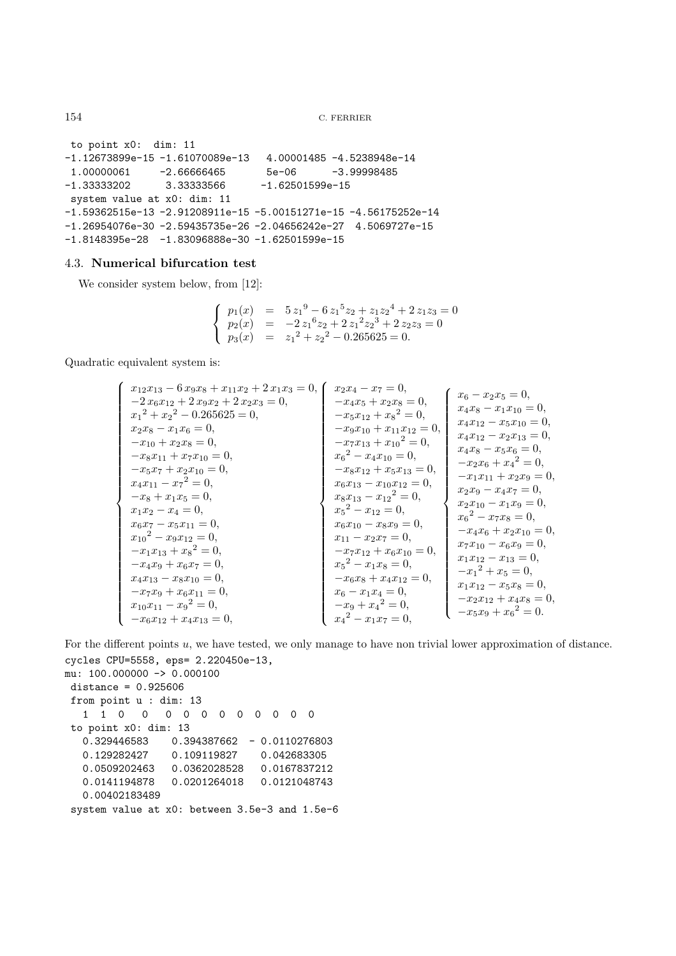```
to point x0: dim: 11
-1.12673899e-15 -1.61070089e-13 4.00001485 -4.5238948e-14
1.00000061 -2.66666465 5e-06 -3.99998485
-1.33333202 3.33333566 -1.62501599e-15system value at x0: dim: 11
-1.59362515e-13 -2.91208911e-15 -5.00151271e-15 -4.56175252e-14
-1.26954076e-30 -2.59435735e-26 -2.04656242e-27 4.5069727e-15
-1.8148395e-28 -1.83096888e-30 -1.62501599e-15
```
# 4.3. **Numerical bifurcation test**

We consider system below, from [12]:

$$
\begin{cases}\n p_1(x) = 5 z_1^9 - 6 z_1^5 z_2 + z_1 z_2^4 + 2 z_1 z_3 = 0 \\
 p_2(x) = -2 z_1^6 z_2 + 2 z_1^2 z_2^3 + 2 z_2 z_3 = 0 \\
 p_3(x) = z_1^2 + z_2^2 - 0.265625 = 0.\n\end{cases}
$$

Quadratic equivalent system is:

$$
\left\{\n\begin{array}{l}\nx_{12}x_{13} - 6x_{9}x_{8} + x_{11}x_{2} + 2x_{1}x_{3} = 0, \\
x_{12}x_{13} + 2x_{2}x_{2} - 0.265625 = 0, \\
x_{21}x_{12} + x_{22} - 0.265625 = 0, \\
x_{22}x_{8} - x_{1}x_{6} = 0, \\
- x_{9}x_{10} + x_{11}x_{12} = 0, \\
- x_{8}x_{11} + x_{7}x_{10} = 0, \\
- x_{8}x_{11} + x_{7}x_{10} = 0, \\
- x_{8}x_{11} + x_{7}x_{10} = 0, \\
- x_{8}x_{11} + x_{7}x_{10} = 0, \\
- x_{8}x_{11} + x_{7}x_{10} = 0, \\
- x_{8}x_{11} + x_{7}x_{10} = 0, \\
- x_{8}x_{11} + x_{7}x_{10} = 0, \\
- x_{8}x_{11} + x_{7}x_{10} = 0, \\
- x_{8}x_{11} + x_{7}x_{10} = 0, \\
- x_{8}x_{11} + x_{7}x_{10} = 0, \\
- x_{8}x_{11} - x_{7}^{2} = 0, \\
- x_{8}x_{12} + x_{5}x_{13} = 0, \\
- x_{8}x_{12} + x_{5}x_{13} = 0, \\
- x_{8}x_{11} - x_{12}x_{2} = 0, \\
- x_{12}x_{11} + x_{22}x_{9} = 0, \\
- x_{12}x_{11} + x_{22}x_{9} = 0, \\
- x_{12}x_{11} + x_{22}x_{9} = 0, \\
- x_{12}x_{11} + x_{22}x_{9} = 0, \\
- x_{12}x_{12} - x_{12} = 0, \\
- x_{12}x_{13} - x_{12} = 0, \\
- x_{12}x_{14} + x_{13} = 0, \\
- x_{12}x_{15} + x_{15} = 0, \\
- x_{12}x_{16} + x_{22}x_{10} = 0, \\
- x_{12}x_{15} + x_{15} =
$$

For the different points u, we have tested, we only manage to have non trivial lower approximation of distance. cycles CPU=5558, eps= 2.220450e-13,

```
mu: 100.000000 \rightarrow 0.000100distance = 0.925606
 from point u : dim: 13
  110 0 000000000
 to point x0: dim: 13
  0.329446583 0.394387662 - 0.0110276803
  0.129282427 0.109119827 0.042683305
  0.0509202463 0.0362028528 0.0167837212
  0.0141194878 0.0201264018 0.0121048743
  0.00402183489
 system value at x0: between 3.5e-3 and 1.5e-6
```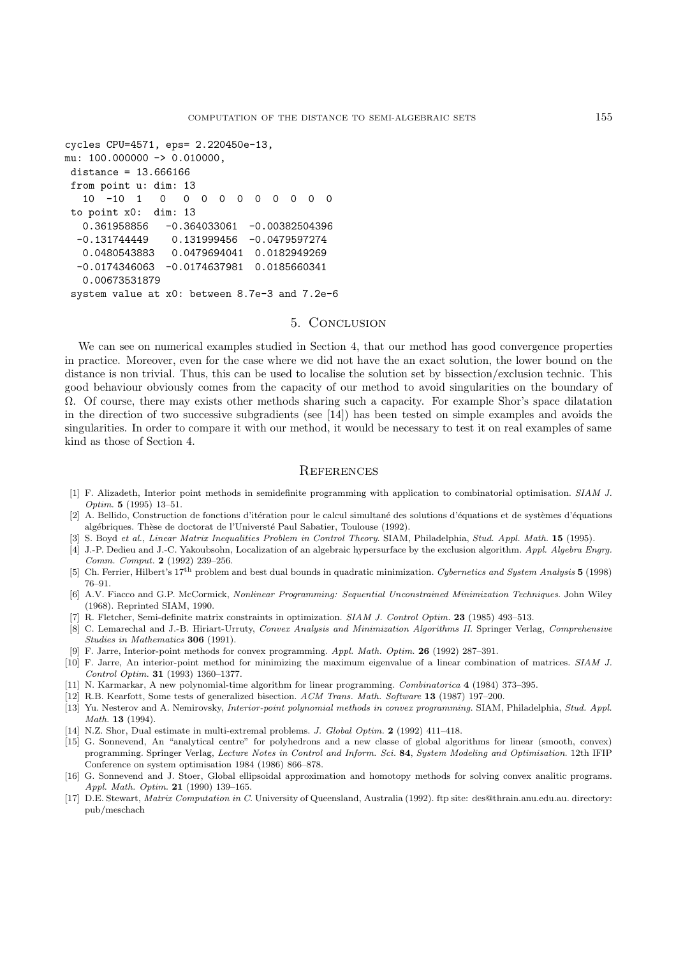```
cycles CPU=4571, eps= 2.220450e-13,
mu: 100.000000 \rightarrow 0.010000,
distance = 13.666166
from point u: dim: 13
   10 -10 1 0 0 0 0 0 0 0 0 0 0
 to point x0: dim: 13
  0.361958856 -0.364033061 -0.00382504396
  -0.131744449 0.131999456 -0.0479597274
  0.0480543883 0.0479694041 0.0182949269
  -0.0174346063 -0.0174637981 0.0185660341
  0.00673531879
 system value at x0: between 8.7e-3 and 7.2e-6
```
#### 5. Conclusion

We can see on numerical examples studied in Section 4, that our method has good convergence properties in practice. Moreover, even for the case where we did not have the an exact solution, the lower bound on the distance is non trivial. Thus, this can be used to localise the solution set by bissection/exclusion technic. This good behaviour obviously comes from the capacity of our method to avoid singularities on the boundary of Ω. Of course, there may exists other methods sharing such a capacity. For example Shor's space dilatation in the direction of two successive subgradients (see [14]) has been tested on simple examples and avoids the singularities. In order to compare it with our method, it would be necessary to test it on real examples of same kind as those of Section 4.

# **REFERENCES**

- [1] F. Alizadeth, Interior point methods in semidefinite programming with application to combinatorial optimisation. SIAM J. Optim. **5** (1995) 13–51.
- [2] A. Bellido, Construction de fonctions d'itération pour le calcul simultané des solutions d'équations et de systèmes d'équations algébriques. Thèse de doctorat de l'Universté Paul Sabatier, Toulouse (1992).
- [3] S. Boyd et al., Linear Matrix Inequalities Problem in Control Theory. SIAM, Philadelphia, Stud. Appl. Math. **15** (1995).
- [4] J.-P. Dedieu and J.-C. Yakoubsohn, Localization of an algebraic hypersurface by the exclusion algorithm. Appl. Algebra Engrg. Comm. Comput. **2** (1992) 239–256.
- [5] Ch. Ferrier, Hilbert's 17th problem and best dual bounds in quadratic minimization. Cybernetics and System Analysis **5** (1998) 76–91.
- [6] A.V. Fiacco and G.P. McCormick, Nonlinear Programming: Sequential Unconstrained Minimization Techniques. John Wiley (1968). Reprinted SIAM, 1990.
- [7] R. Fletcher, Semi-definite matrix constraints in optimization. SIAM J. Control Optim. **23** (1985) 493–513.
- [8] C. Lemarechal and J.-B. Hiriart-Urruty, Convex Analysis and Minimization Algorithms II. Springer Verlag, Comprehensive Studies in Mathematics **306** (1991).
- [9] F. Jarre, Interior-point methods for convex programming. Appl. Math. Optim. **26** (1992) 287–391.
- [10] F. Jarre, An interior-point method for minimizing the maximum eigenvalue of a linear combination of matrices. SIAM J. Control Optim. **31** (1993) 1360–1377.
- [11] N. Karmarkar, A new polynomial-time algorithm for linear programming. Combinatorica **4** (1984) 373–395.
- [12] R.B. Kearfott, Some tests of generalized bisection. ACM Trans. Math. Software **13** (1987) 197–200.
- [13] Yu. Nesterov and A. Nemirovsky, Interior-point polynomial methods in convex programming. SIAM, Philadelphia, Stud. Appl. Math. **13** (1994).
- [14] N.Z. Shor, Dual estimate in multi-extremal problems. J. Global Optim. **2** (1992) 411–418.
- [15] G. Sonnevend, An "analytical centre" for polyhedrons and a new classe of global algorithms for linear (smooth, convex) programming. Springer Verlag, Lecture Notes in Control and Inform. Sci. **84**, System Modeling and Optimisation. 12th IFIP Conference on system optimisation 1984 (1986) 866–878.
- [16] G. Sonnevend and J. Stoer, Global ellipsoidal approximation and homotopy methods for solving convex analitic programs. Appl. Math. Optim. **21** (1990) 139–165.
- [17] D.E. Stewart, Matrix Computation in C. University of Queensland, Australia (1992). ftp site: des@thrain.anu.edu.au. directory: pub/meschach